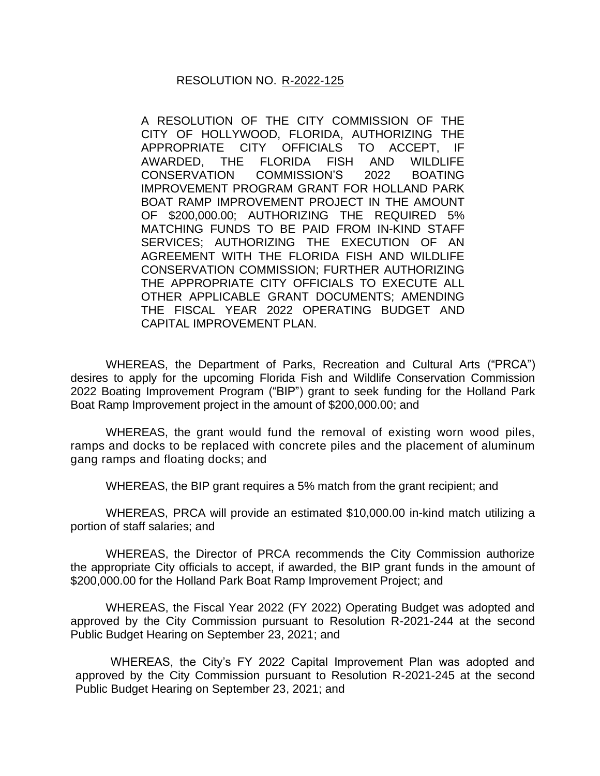## RESOLUTION NO. R-2022-125

A RESOLUTION OF THE CITY COMMISSION OF THE CITY OF HOLLYWOOD, FLORIDA, AUTHORIZING THE APPROPRIATE CITY OFFICIALS TO ACCEPT, IF AWARDED, THE FLORIDA FISH AND WILDLIFE CONSERVATION COMMISSION'S 2022 BOATING IMPROVEMENT PROGRAM GRANT FOR HOLLAND PARK BOAT RAMP IMPROVEMENT PROJECT IN THE AMOUNT OF \$200,000.00; AUTHORIZING THE REQUIRED 5% MATCHING FUNDS TO BE PAID FROM IN-KIND STAFF SERVICES; AUTHORIZING THE EXECUTION OF AN AGREEMENT WITH THE FLORIDA FISH AND WILDLIFE CONSERVATION COMMISSION; FURTHER AUTHORIZING THE APPROPRIATE CITY OFFICIALS TO EXECUTE ALL OTHER APPLICABLE GRANT DOCUMENTS; AMENDING THE FISCAL YEAR 2022 OPERATING BUDGET AND CAPITAL IMPROVEMENT PLAN.

WHEREAS, the Department of Parks, Recreation and Cultural Arts ("PRCA") desires to apply for the upcoming Florida Fish and Wildlife Conservation Commission 2022 Boating Improvement Program ("BIP") grant to seek funding for the Holland Park Boat Ramp Improvement project in the amount of \$200,000.00; and

WHEREAS, the grant would fund the removal of existing worn wood piles, ramps and docks to be replaced with concrete piles and the placement of aluminum gang ramps and floating docks; and

WHEREAS, the BIP grant requires a 5% match from the grant recipient; and

WHEREAS, PRCA will provide an estimated \$10,000.00 in-kind match utilizing a portion of staff salaries; and

WHEREAS, the Director of PRCA recommends the City Commission authorize the appropriate City officials to accept, if awarded, the BIP grant funds in the amount of \$200,000.00 for the Holland Park Boat Ramp Improvement Project; and

WHEREAS, the Fiscal Year 2022 (FY 2022) Operating Budget was adopted and approved by the City Commission pursuant to Resolution R-2021-244 at the second Public Budget Hearing on September 23, 2021; and

WHEREAS, the City's FY 2022 Capital Improvement Plan was adopted and approved by the City Commission pursuant to Resolution R-2021-245 at the second Public Budget Hearing on September 23, 2021; and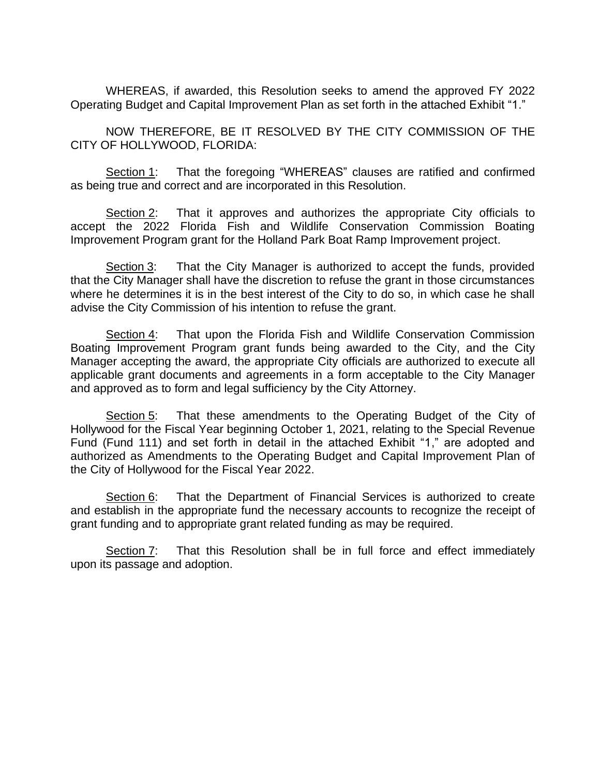WHEREAS, if awarded, this Resolution seeks to amend the approved FY 2022 Operating Budget and Capital Improvement Plan as set forth in the attached Exhibit "1."

NOW THEREFORE, BE IT RESOLVED BY THE CITY COMMISSION OF THE CITY OF HOLLYWOOD, FLORIDA:

Section 1: That the foregoing "WHEREAS" clauses are ratified and confirmed as being true and correct and are incorporated in this Resolution.

Section 2: That it approves and authorizes the appropriate City officials to accept the 2022 Florida Fish and Wildlife Conservation Commission Boating Improvement Program grant for the Holland Park Boat Ramp Improvement project.

Section 3: That the City Manager is authorized to accept the funds, provided that the City Manager shall have the discretion to refuse the grant in those circumstances where he determines it is in the best interest of the City to do so, in which case he shall advise the City Commission of his intention to refuse the grant.

Section 4: That upon the Florida Fish and Wildlife Conservation Commission Boating Improvement Program grant funds being awarded to the City, and the City Manager accepting the award, the appropriate City officials are authorized to execute all applicable grant documents and agreements in a form acceptable to the City Manager and approved as to form and legal sufficiency by the City Attorney.

Section 5: That these amendments to the Operating Budget of the City of Hollywood for the Fiscal Year beginning October 1, 2021, relating to the Special Revenue Fund (Fund 111) and set forth in detail in the attached Exhibit "1," are adopted and authorized as Amendments to the Operating Budget and Capital Improvement Plan of the City of Hollywood for the Fiscal Year 2022.

Section 6: That the Department of Financial Services is authorized to create and establish in the appropriate fund the necessary accounts to recognize the receipt of grant funding and to appropriate grant related funding as may be required.

Section 7: That this Resolution shall be in full force and effect immediately upon its passage and adoption.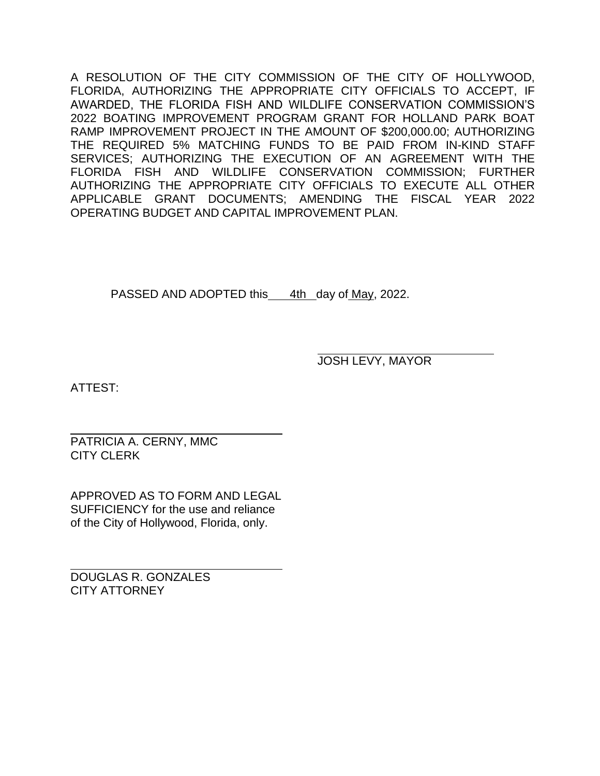A RESOLUTION OF THE CITY COMMISSION OF THE CITY OF HOLLYWOOD, FLORIDA, AUTHORIZING THE APPROPRIATE CITY OFFICIALS TO ACCEPT, IF AWARDED, THE FLORIDA FISH AND WILDLIFE CONSERVATION COMMISSION'S 2022 BOATING IMPROVEMENT PROGRAM GRANT FOR HOLLAND PARK BOAT RAMP IMPROVEMENT PROJECT IN THE AMOUNT OF \$200,000.00; AUTHORIZING THE REQUIRED 5% MATCHING FUNDS TO BE PAID FROM IN-KIND STAFF SERVICES; AUTHORIZING THE EXECUTION OF AN AGREEMENT WITH THE FLORIDA FISH AND WILDLIFE CONSERVATION COMMISSION; FURTHER AUTHORIZING THE APPROPRIATE CITY OFFICIALS TO EXECUTE ALL OTHER APPLICABLE GRANT DOCUMENTS; AMENDING THE FISCAL YEAR 2022 OPERATING BUDGET AND CAPITAL IMPROVEMENT PLAN.

PASSED AND ADOPTED this 4th day of May, 2022.

JOSH LEVY, MAYOR

ATTEST:

PATRICIA A. CERNY, MMC CITY CLERK

APPROVED AS TO FORM AND LEGAL SUFFICIENCY for the use and reliance of the City of Hollywood, Florida, only.

DOUGLAS R. GONZALES CITY ATTORNEY